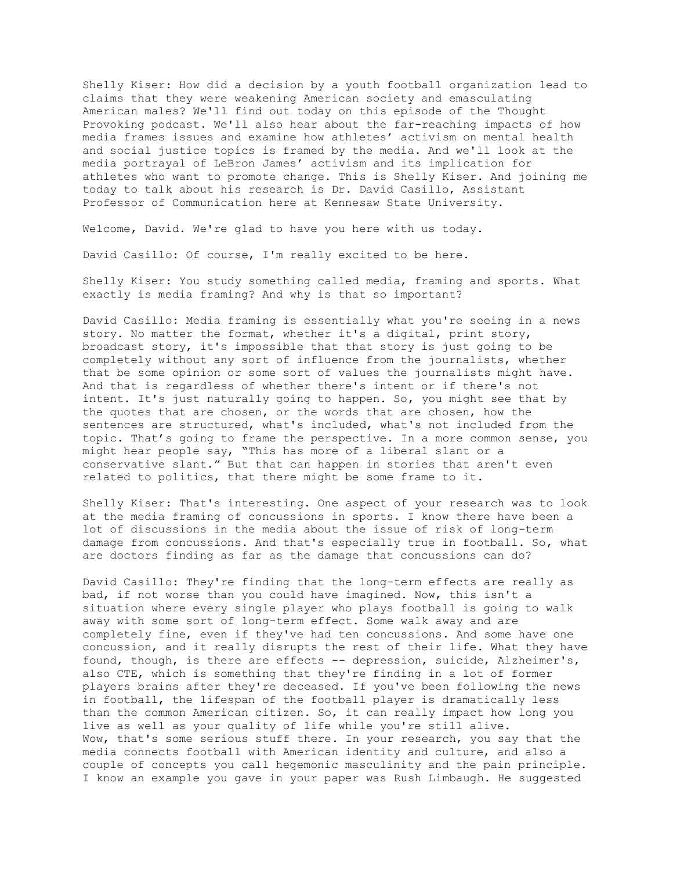Shelly Kiser: How did a decision by a youth football organization lead to claims that they were weakening American society and emasculating American males? We'll find out today on this episode of the Thought Provoking podcast. We'll also hear about the far-reaching impacts of how media frames issues and examine how athletes' activism on mental health and social justice topics is framed by the media. And we'll look at the media portrayal of LeBron James' activism and its implication for athletes who want to promote change. This is Shelly Kiser. And joining me today to talk about his research is Dr. David Casillo, Assistant Professor of Communication here at Kennesaw State University.

Welcome, David. We're glad to have you here with us today.

David Casillo: Of course, I'm really excited to be here.

Shelly Kiser: You study something called media, framing and sports. What exactly is media framing? And why is that so important?

David Casillo: Media framing is essentially what you're seeing in a news story. No matter the format, whether it's a digital, print story, broadcast story, it's impossible that that story is just going to be completely without any sort of influence from the journalists, whether that be some opinion or some sort of values the journalists might have. And that is regardless of whether there's intent or if there's not intent. It's just naturally going to happen. So, you might see that by the quotes that are chosen, or the words that are chosen, how the sentences are structured, what's included, what's not included from the topic. That's going to frame the perspective. In a more common sense, you might hear people say, "This has more of a liberal slant or a conservative slant." But that can happen in stories that aren't even related to politics, that there might be some frame to it.

Shelly Kiser: That's interesting. One aspect of your research was to look at the media framing of concussions in sports. I know there have been a lot of discussions in the media about the issue of risk of long-term damage from concussions. And that's especially true in football. So, what are doctors finding as far as the damage that concussions can do?

David Casillo: They're finding that the long-term effects are really as bad, if not worse than you could have imagined. Now, this isn't a situation where every single player who plays football is going to walk away with some sort of long-term effect. Some walk away and are completely fine, even if they've had ten concussions. And some have one concussion, and it really disrupts the rest of their life. What they have found, though, is there are effects -- depression, suicide, Alzheimer's, also CTE, which is something that they're finding in a lot of former players brains after they're deceased. If you've been following the news in football, the lifespan of the football player is dramatically less than the common American citizen. So, it can really impact how long you live as well as your quality of life while you're still alive. Wow, that's some serious stuff there. In your research, you say that the media connects football with American identity and culture, and also a couple of concepts you call hegemonic masculinity and the pain principle. I know an example you gave in your paper was Rush Limbaugh. He suggested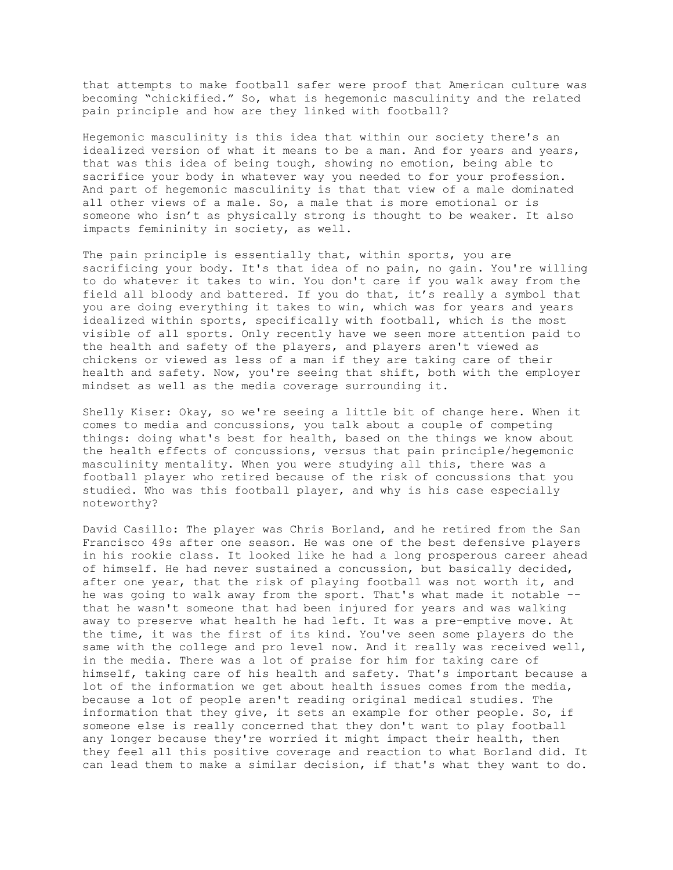that attempts to make football safer were proof that American culture was becoming "chickified." So, what is hegemonic masculinity and the related pain principle and how are they linked with football?

Hegemonic masculinity is this idea that within our society there's an idealized version of what it means to be a man. And for years and years, that was this idea of being tough, showing no emotion, being able to sacrifice your body in whatever way you needed to for your profession. And part of hegemonic masculinity is that that view of a male dominated all other views of a male. So, a male that is more emotional or is someone who isn't as physically strong is thought to be weaker. It also impacts femininity in society, as well.

The pain principle is essentially that, within sports, you are sacrificing your body. It's that idea of no pain, no gain. You're willing to do whatever it takes to win. You don't care if you walk away from the field all bloody and battered. If you do that, it's really a symbol that you are doing everything it takes to win, which was for years and years idealized within sports, specifically with football, which is the most visible of all sports. Only recently have we seen more attention paid to the health and safety of the players, and players aren't viewed as chickens or viewed as less of a man if they are taking care of their health and safety. Now, you're seeing that shift, both with the employer mindset as well as the media coverage surrounding it.

Shelly Kiser: Okay, so we're seeing a little bit of change here. When it comes to media and concussions, you talk about a couple of competing things: doing what's best for health, based on the things we know about the health effects of concussions, versus that pain principle/hegemonic masculinity mentality. When you were studying all this, there was a football player who retired because of the risk of concussions that you studied. Who was this football player, and why is his case especially noteworthy?

David Casillo: The player was Chris Borland, and he retired from the San Francisco 49s after one season. He was one of the best defensive players in his rookie class. It looked like he had a long prosperous career ahead of himself. He had never sustained a concussion, but basically decided, after one year, that the risk of playing football was not worth it, and he was going to walk away from the sport. That's what made it notable - that he wasn't someone that had been injured for years and was walking away to preserve what health he had left. It was a pre-emptive move. At the time, it was the first of its kind. You've seen some players do the same with the college and pro level now. And it really was received well, in the media. There was a lot of praise for him for taking care of himself, taking care of his health and safety. That's important because a lot of the information we get about health issues comes from the media, because a lot of people aren't reading original medical studies. The information that they give, it sets an example for other people. So, if someone else is really concerned that they don't want to play football any longer because they're worried it might impact their health, then they feel all this positive coverage and reaction to what Borland did. It can lead them to make a similar decision, if that's what they want to do.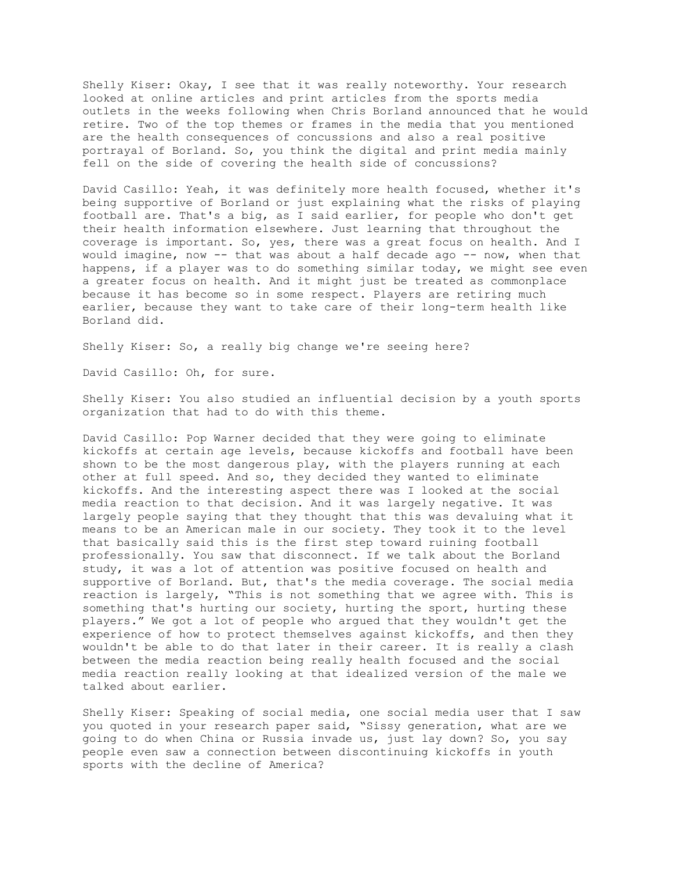Shelly Kiser: Okay, I see that it was really noteworthy. Your research looked at online articles and print articles from the sports media outlets in the weeks following when Chris Borland announced that he would retire. Two of the top themes or frames in the media that you mentioned are the health consequences of concussions and also a real positive portrayal of Borland. So, you think the digital and print media mainly fell on the side of covering the health side of concussions?

David Casillo: Yeah, it was definitely more health focused, whether it's being supportive of Borland or just explaining what the risks of playing football are. That's a big, as I said earlier, for people who don't get their health information elsewhere. Just learning that throughout the coverage is important. So, yes, there was a great focus on health. And I would imagine, now -- that was about a half decade ago -- now, when that happens, if a player was to do something similar today, we might see even a greater focus on health. And it might just be treated as commonplace because it has become so in some respect. Players are retiring much earlier, because they want to take care of their long-term health like Borland did.

Shelly Kiser: So, a really big change we're seeing here?

David Casillo: Oh, for sure.

Shelly Kiser: You also studied an influential decision by a youth sports organization that had to do with this theme.

David Casillo: Pop Warner decided that they were going to eliminate kickoffs at certain age levels, because kickoffs and football have been shown to be the most dangerous play, with the players running at each other at full speed. And so, they decided they wanted to eliminate kickoffs. And the interesting aspect there was I looked at the social media reaction to that decision. And it was largely negative. It was largely people saying that they thought that this was devaluing what it means to be an American male in our society. They took it to the level that basically said this is the first step toward ruining football professionally. You saw that disconnect. If we talk about the Borland study, it was a lot of attention was positive focused on health and supportive of Borland. But, that's the media coverage. The social media reaction is largely, "This is not something that we agree with. This is something that's hurting our society, hurting the sport, hurting these players." We got a lot of people who argued that they wouldn't get the experience of how to protect themselves against kickoffs, and then they wouldn't be able to do that later in their career. It is really a clash between the media reaction being really health focused and the social media reaction really looking at that idealized version of the male we talked about earlier.

Shelly Kiser: Speaking of social media, one social media user that I saw you quoted in your research paper said, "Sissy generation, what are we going to do when China or Russia invade us, just lay down? So, you say people even saw a connection between discontinuing kickoffs in youth sports with the decline of America?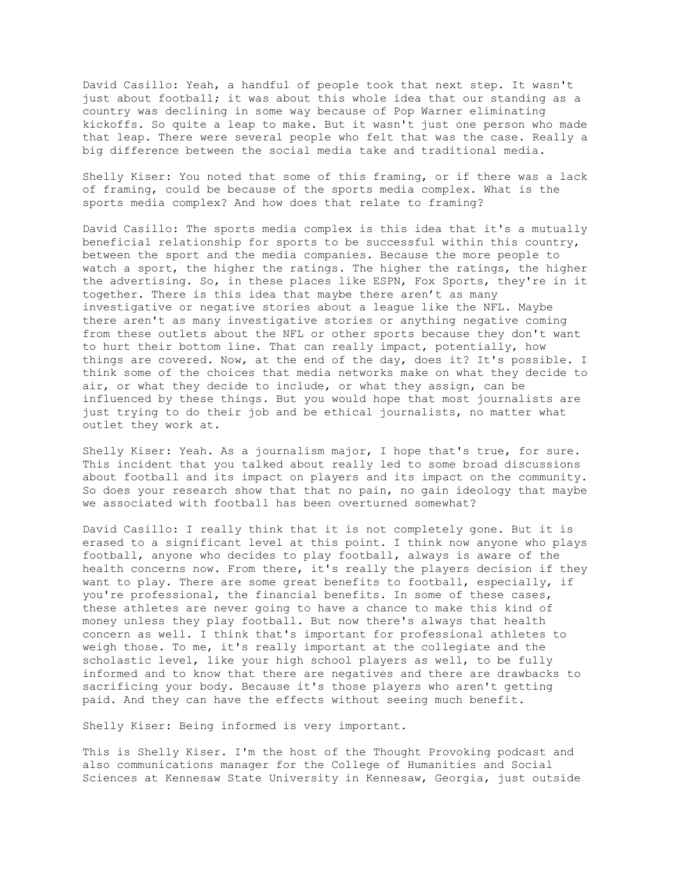David Casillo: Yeah, a handful of people took that next step. It wasn't just about football; it was about this whole idea that our standing as a country was declining in some way because of Pop Warner eliminating kickoffs. So quite a leap to make. But it wasn't just one person who made that leap. There were several people who felt that was the case. Really a big difference between the social media take and traditional media.

Shelly Kiser: You noted that some of this framing, or if there was a lack of framing, could be because of the sports media complex. What is the sports media complex? And how does that relate to framing?

David Casillo: The sports media complex is this idea that it's a mutually beneficial relationship for sports to be successful within this country, between the sport and the media companies. Because the more people to watch a sport, the higher the ratings. The higher the ratings, the higher the advertising. So, in these places like ESPN, Fox Sports, they're in it together. There is this idea that maybe there aren't as many investigative or negative stories about a league like the NFL. Maybe there aren't as many investigative stories or anything negative coming from these outlets about the NFL or other sports because they don't want to hurt their bottom line. That can really impact, potentially, how things are covered. Now, at the end of the day, does it? It's possible. I think some of the choices that media networks make on what they decide to air, or what they decide to include, or what they assign, can be influenced by these things. But you would hope that most journalists are just trying to do their job and be ethical journalists, no matter what outlet they work at.

Shelly Kiser: Yeah. As a journalism major, I hope that's true, for sure. This incident that you talked about really led to some broad discussions about football and its impact on players and its impact on the community. So does your research show that that no pain, no gain ideology that maybe we associated with football has been overturned somewhat?

David Casillo: I really think that it is not completely gone. But it is erased to a significant level at this point. I think now anyone who plays football, anyone who decides to play football, always is aware of the health concerns now. From there, it's really the players decision if they want to play. There are some great benefits to football, especially, if you're professional, the financial benefits. In some of these cases, these athletes are never going to have a chance to make this kind of money unless they play football. But now there's always that health concern as well. I think that's important for professional athletes to weigh those. To me, it's really important at the collegiate and the scholastic level, like your high school players as well, to be fully informed and to know that there are negatives and there are drawbacks to sacrificing your body. Because it's those players who aren't getting paid. And they can have the effects without seeing much benefit.

Shelly Kiser: Being informed is very important.

This is Shelly Kiser. I'm the host of the Thought Provoking podcast and also communications manager for the College of Humanities and Social Sciences at Kennesaw State University in Kennesaw, Georgia, just outside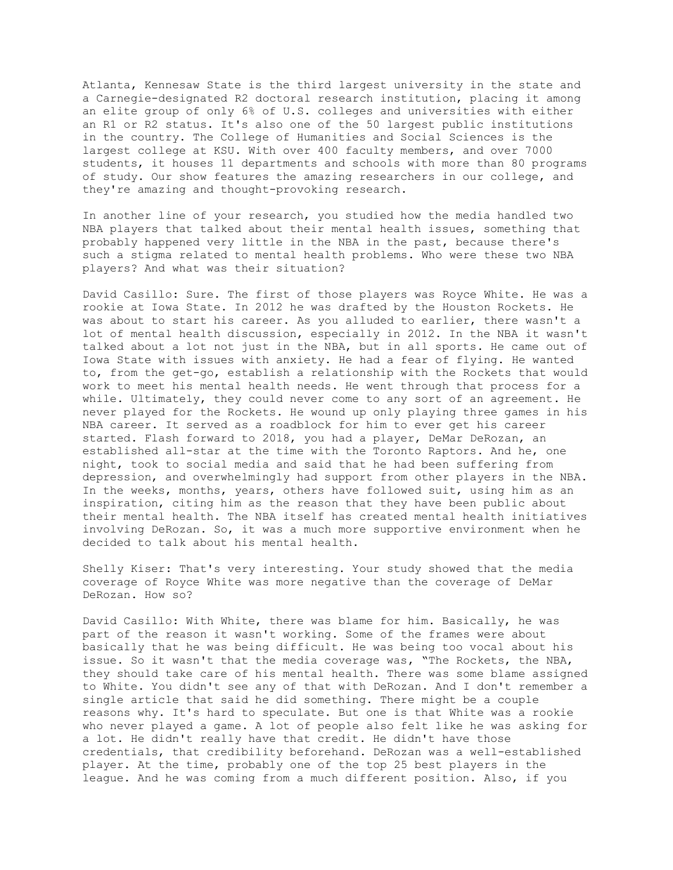Atlanta, Kennesaw State is the third largest university in the state and a Carnegie-designated R2 doctoral research institution, placing it among an elite group of only 6% of U.S. colleges and universities with either an R1 or R2 status. It's also one of the 50 largest public institutions in the country. The College of Humanities and Social Sciences is the largest college at KSU. With over 400 faculty members, and over 7000 students, it houses 11 departments and schools with more than 80 programs of study. Our show features the amazing researchers in our college, and they're amazing and thought-provoking research.

In another line of your research, you studied how the media handled two NBA players that talked about their mental health issues, something that probably happened very little in the NBA in the past, because there's such a stigma related to mental health problems. Who were these two NBA players? And what was their situation?

David Casillo: Sure. The first of those players was Royce White. He was a rookie at Iowa State. In 2012 he was drafted by the Houston Rockets. He was about to start his career. As you alluded to earlier, there wasn't a lot of mental health discussion, especially in 2012. In the NBA it wasn't talked about a lot not just in the NBA, but in all sports. He came out of Iowa State with issues with anxiety. He had a fear of flying. He wanted to, from the get-go, establish a relationship with the Rockets that would work to meet his mental health needs. He went through that process for a while. Ultimately, they could never come to any sort of an agreement. He never played for the Rockets. He wound up only playing three games in his NBA career. It served as a roadblock for him to ever get his career started. Flash forward to 2018, you had a player, DeMar DeRozan, an established all-star at the time with the Toronto Raptors. And he, one night, took to social media and said that he had been suffering from depression, and overwhelmingly had support from other players in the NBA. In the weeks, months, years, others have followed suit, using him as an inspiration, citing him as the reason that they have been public about their mental health. The NBA itself has created mental health initiatives involving DeRozan. So, it was a much more supportive environment when he decided to talk about his mental health.

Shelly Kiser: That's very interesting. Your study showed that the media coverage of Royce White was more negative than the coverage of DeMar DeRozan. How so?

David Casillo: With White, there was blame for him. Basically, he was part of the reason it wasn't working. Some of the frames were about basically that he was being difficult. He was being too vocal about his issue. So it wasn't that the media coverage was, "The Rockets, the NBA, they should take care of his mental health. There was some blame assigned to White. You didn't see any of that with DeRozan. And I don't remember a single article that said he did something. There might be a couple reasons why. It's hard to speculate. But one is that White was a rookie who never played a game. A lot of people also felt like he was asking for a lot. He didn't really have that credit. He didn't have those credentials, that credibility beforehand. DeRozan was a well-established player. At the time, probably one of the top 25 best players in the league. And he was coming from a much different position. Also, if you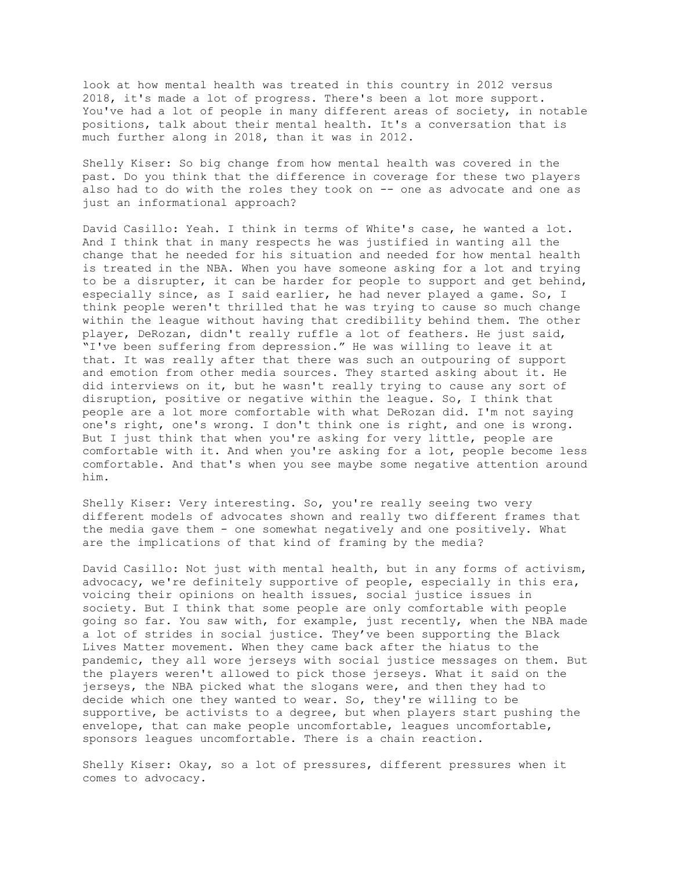look at how mental health was treated in this country in 2012 versus 2018, it's made a lot of progress. There's been a lot more support. You've had a lot of people in many different areas of society, in notable positions, talk about their mental health. It's a conversation that is much further along in 2018, than it was in 2012.

Shelly Kiser: So big change from how mental health was covered in the past. Do you think that the difference in coverage for these two players also had to do with the roles they took on -- one as advocate and one as just an informational approach?

David Casillo: Yeah. I think in terms of White's case, he wanted a lot. And I think that in many respects he was justified in wanting all the change that he needed for his situation and needed for how mental health is treated in the NBA. When you have someone asking for a lot and trying to be a disrupter, it can be harder for people to support and get behind, especially since, as I said earlier, he had never played a game. So, I think people weren't thrilled that he was trying to cause so much change within the league without having that credibility behind them. The other player, DeRozan, didn't really ruffle a lot of feathers. He just said, "I've been suffering from depression." He was willing to leave it at that. It was really after that there was such an outpouring of support and emotion from other media sources. They started asking about it. He did interviews on it, but he wasn't really trying to cause any sort of disruption, positive or negative within the league. So, I think that people are a lot more comfortable with what DeRozan did. I'm not saying one's right, one's wrong. I don't think one is right, and one is wrong. But I just think that when you're asking for very little, people are comfortable with it. And when you're asking for a lot, people become less comfortable. And that's when you see maybe some negative attention around him.

Shelly Kiser: Very interesting. So, you're really seeing two very different models of advocates shown and really two different frames that the media gave them - one somewhat negatively and one positively. What are the implications of that kind of framing by the media?

David Casillo: Not just with mental health, but in any forms of activism, advocacy, we're definitely supportive of people, especially in this era, voicing their opinions on health issues, social justice issues in society. But I think that some people are only comfortable with people going so far. You saw with, for example, just recently, when the NBA made a lot of strides in social justice. They've been supporting the Black Lives Matter movement. When they came back after the hiatus to the pandemic, they all wore jerseys with social justice messages on them. But the players weren't allowed to pick those jerseys. What it said on the jerseys, the NBA picked what the slogans were, and then they had to decide which one they wanted to wear. So, they're willing to be supportive, be activists to a degree, but when players start pushing the envelope, that can make people uncomfortable, leagues uncomfortable, sponsors leagues uncomfortable. There is a chain reaction.

Shelly Kiser: Okay, so a lot of pressures, different pressures when it comes to advocacy.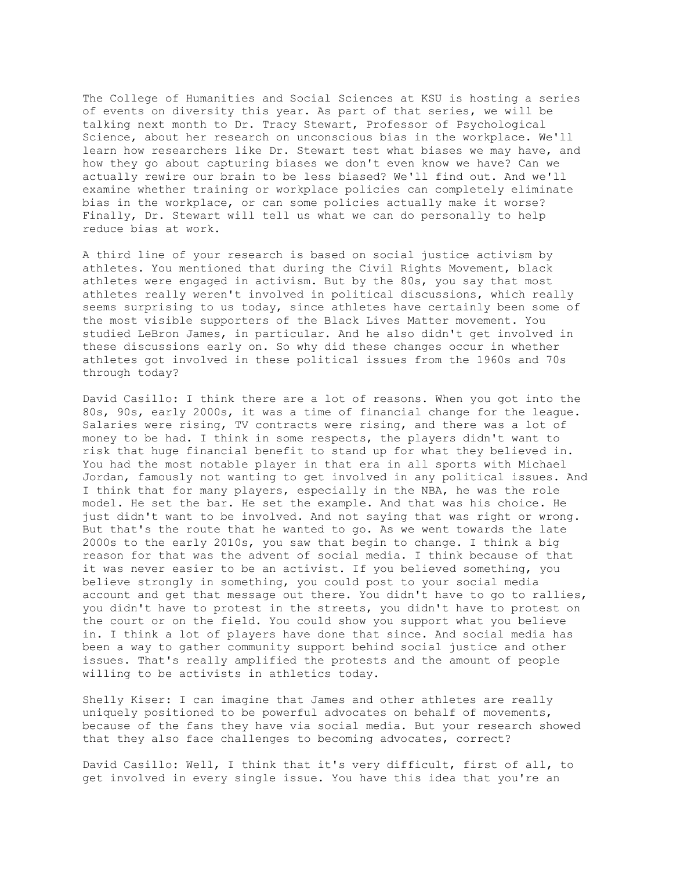The College of Humanities and Social Sciences at KSU is hosting a series of events on diversity this year. As part of that series, we will be talking next month to Dr. Tracy Stewart, Professor of Psychological Science, about her research on unconscious bias in the workplace. We'll learn how researchers like Dr. Stewart test what biases we may have, and how they go about capturing biases we don't even know we have? Can we actually rewire our brain to be less biased? We'll find out. And we'll examine whether training or workplace policies can completely eliminate bias in the workplace, or can some policies actually make it worse? Finally, Dr. Stewart will tell us what we can do personally to help reduce bias at work.

A third line of your research is based on social justice activism by athletes. You mentioned that during the Civil Rights Movement, black athletes were engaged in activism. But by the 80s, you say that most athletes really weren't involved in political discussions, which really seems surprising to us today, since athletes have certainly been some of the most visible supporters of the Black Lives Matter movement. You studied LeBron James, in particular. And he also didn't get involved in these discussions early on. So why did these changes occur in whether athletes got involved in these political issues from the 1960s and 70s through today?

David Casillo: I think there are a lot of reasons. When you got into the 80s, 90s, early 2000s, it was a time of financial change for the league. Salaries were rising, TV contracts were rising, and there was a lot of money to be had. I think in some respects, the players didn't want to risk that huge financial benefit to stand up for what they believed in. You had the most notable player in that era in all sports with Michael Jordan, famously not wanting to get involved in any political issues. And I think that for many players, especially in the NBA, he was the role model. He set the bar. He set the example. And that was his choice. He just didn't want to be involved. And not saying that was right or wrong. But that's the route that he wanted to go. As we went towards the late 2000s to the early 2010s, you saw that begin to change. I think a big reason for that was the advent of social media. I think because of that it was never easier to be an activist. If you believed something, you believe strongly in something, you could post to your social media account and get that message out there. You didn't have to go to rallies, you didn't have to protest in the streets, you didn't have to protest on the court or on the field. You could show you support what you believe in. I think a lot of players have done that since. And social media has been a way to gather community support behind social justice and other issues. That's really amplified the protests and the amount of people willing to be activists in athletics today.

Shelly Kiser: I can imagine that James and other athletes are really uniquely positioned to be powerful advocates on behalf of movements, because of the fans they have via social media. But your research showed that they also face challenges to becoming advocates, correct?

David Casillo: Well, I think that it's very difficult, first of all, to get involved in every single issue. You have this idea that you're an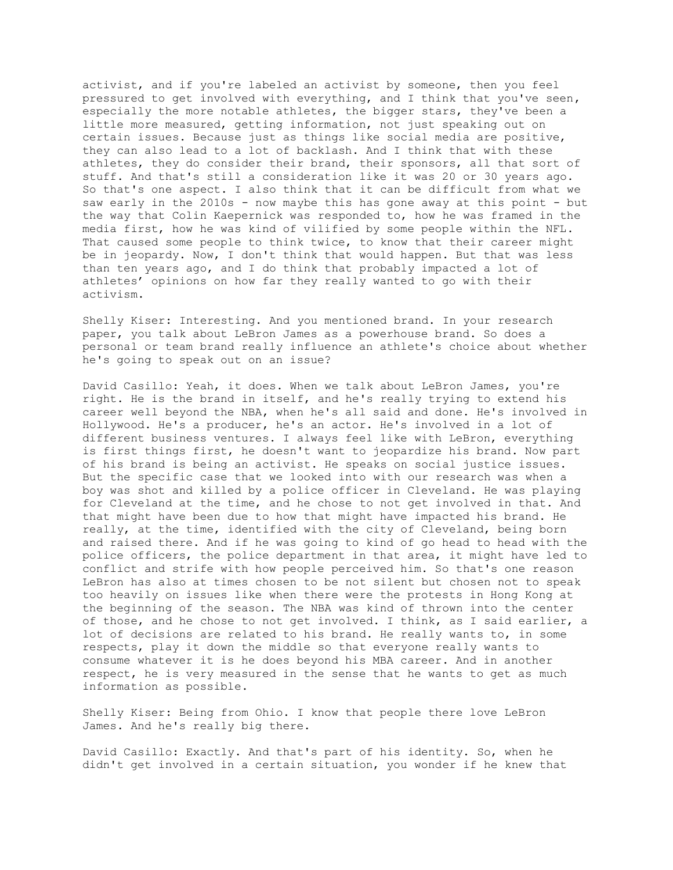activist, and if you're labeled an activist by someone, then you feel pressured to get involved with everything, and I think that you've seen, especially the more notable athletes, the bigger stars, they've been a little more measured, getting information, not just speaking out on certain issues. Because just as things like social media are positive, they can also lead to a lot of backlash. And I think that with these athletes, they do consider their brand, their sponsors, all that sort of stuff. And that's still a consideration like it was 20 or 30 years ago. So that's one aspect. I also think that it can be difficult from what we saw early in the 2010s - now maybe this has gone away at this point - but the way that Colin Kaepernick was responded to, how he was framed in the media first, how he was kind of vilified by some people within the NFL. That caused some people to think twice, to know that their career might be in jeopardy. Now, I don't think that would happen. But that was less than ten years ago, and I do think that probably impacted a lot of athletes' opinions on how far they really wanted to go with their activism.

Shelly Kiser: Interesting. And you mentioned brand. In your research paper, you talk about LeBron James as a powerhouse brand. So does a personal or team brand really influence an athlete's choice about whether he's going to speak out on an issue?

David Casillo: Yeah, it does. When we talk about LeBron James, you're right. He is the brand in itself, and he's really trying to extend his career well beyond the NBA, when he's all said and done. He's involved in Hollywood. He's a producer, he's an actor. He's involved in a lot of different business ventures. I always feel like with LeBron, everything is first things first, he doesn't want to jeopardize his brand. Now part of his brand is being an activist. He speaks on social justice issues. But the specific case that we looked into with our research was when a boy was shot and killed by a police officer in Cleveland. He was playing for Cleveland at the time, and he chose to not get involved in that. And that might have been due to how that might have impacted his brand. He really, at the time, identified with the city of Cleveland, being born and raised there. And if he was going to kind of go head to head with the police officers, the police department in that area, it might have led to conflict and strife with how people perceived him. So that's one reason LeBron has also at times chosen to be not silent but chosen not to speak too heavily on issues like when there were the protests in Hong Kong at the beginning of the season. The NBA was kind of thrown into the center of those, and he chose to not get involved. I think, as I said earlier, a lot of decisions are related to his brand. He really wants to, in some respects, play it down the middle so that everyone really wants to consume whatever it is he does beyond his MBA career. And in another respect, he is very measured in the sense that he wants to get as much information as possible.

Shelly Kiser: Being from Ohio. I know that people there love LeBron James. And he's really big there.

David Casillo: Exactly. And that's part of his identity. So, when he didn't get involved in a certain situation, you wonder if he knew that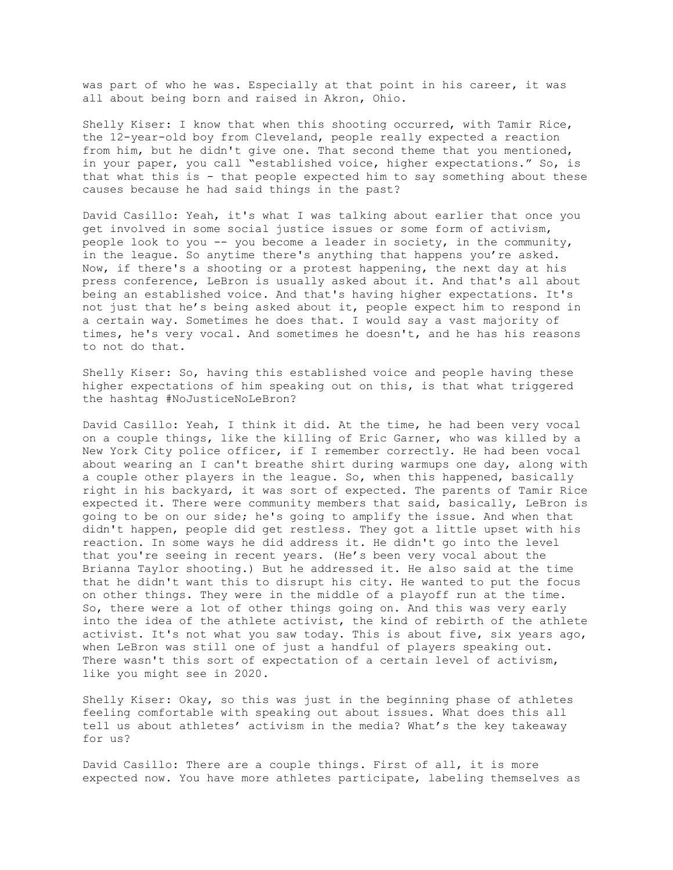was part of who he was. Especially at that point in his career, it was all about being born and raised in Akron, Ohio.

Shelly Kiser: I know that when this shooting occurred, with Tamir Rice, the 12-year-old boy from Cleveland, people really expected a reaction from him, but he didn't give one. That second theme that you mentioned, in your paper, you call "established voice, higher expectations." So, is that what this is - that people expected him to say something about these causes because he had said things in the past?

David Casillo: Yeah, it's what I was talking about earlier that once you get involved in some social justice issues or some form of activism, people look to you -- you become a leader in society, in the community, in the league. So anytime there's anything that happens you're asked. Now, if there's a shooting or a protest happening, the next day at his press conference, LeBron is usually asked about it. And that's all about being an established voice. And that's having higher expectations. It's not just that he's being asked about it, people expect him to respond in a certain way. Sometimes he does that. I would say a vast majority of times, he's very vocal. And sometimes he doesn't, and he has his reasons to not do that.

Shelly Kiser: So, having this established voice and people having these higher expectations of him speaking out on this, is that what triggered the hashtag #NoJusticeNoLeBron?

David Casillo: Yeah, I think it did. At the time, he had been very vocal on a couple things, like the killing of Eric Garner, who was killed by a New York City police officer, if I remember correctly. He had been vocal about wearing an I can't breathe shirt during warmups one day, along with a couple other players in the league. So, when this happened, basically right in his backyard, it was sort of expected. The parents of Tamir Rice expected it. There were community members that said, basically, LeBron is going to be on our side; he's going to amplify the issue. And when that didn't happen, people did get restless. They got a little upset with his reaction. In some ways he did address it. He didn't go into the level that you're seeing in recent years. (He's been very vocal about the Brianna Taylor shooting.) But he addressed it. He also said at the time that he didn't want this to disrupt his city. He wanted to put the focus on other things. They were in the middle of a playoff run at the time. So, there were a lot of other things going on. And this was very early into the idea of the athlete activist, the kind of rebirth of the athlete activist. It's not what you saw today. This is about five, six years ago, when LeBron was still one of just a handful of players speaking out. There wasn't this sort of expectation of a certain level of activism, like you might see in 2020.

Shelly Kiser: Okay, so this was just in the beginning phase of athletes feeling comfortable with speaking out about issues. What does this all tell us about athletes' activism in the media? What's the key takeaway for us?

David Casillo: There are a couple things. First of all, it is more expected now. You have more athletes participate, labeling themselves as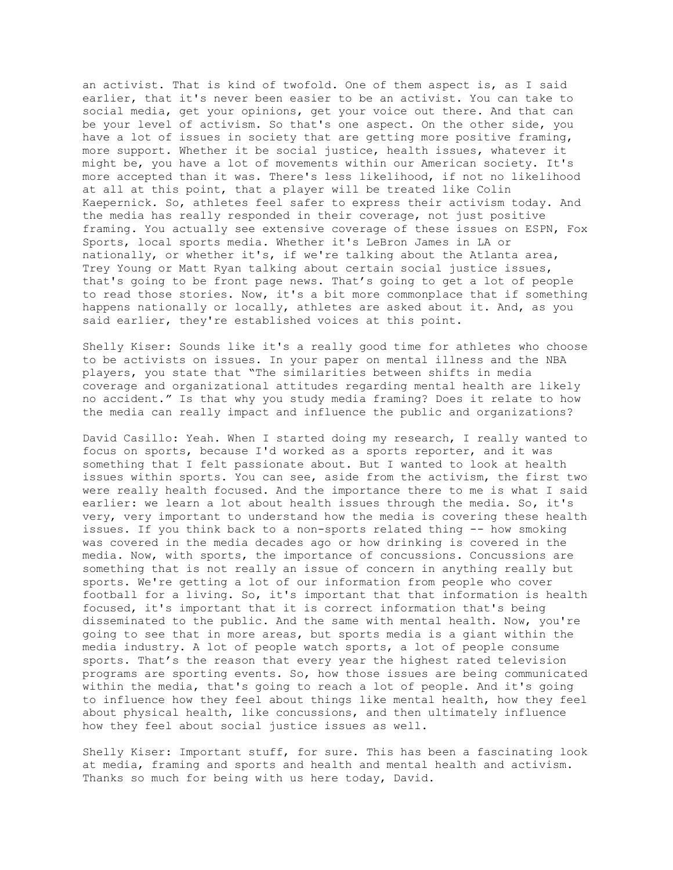an activist. That is kind of twofold. One of them aspect is, as I said earlier, that it's never been easier to be an activist. You can take to social media, get your opinions, get your voice out there. And that can be your level of activism. So that's one aspect. On the other side, you have a lot of issues in society that are getting more positive framing, more support. Whether it be social justice, health issues, whatever it might be, you have a lot of movements within our American society. It's more accepted than it was. There's less likelihood, if not no likelihood at all at this point, that a player will be treated like Colin Kaepernick. So, athletes feel safer to express their activism today. And the media has really responded in their coverage, not just positive framing. You actually see extensive coverage of these issues on ESPN, Fox Sports, local sports media. Whether it's LeBron James in LA or nationally, or whether it's, if we're talking about the Atlanta area, Trey Young or Matt Ryan talking about certain social justice issues, that's going to be front page news. That's going to get a lot of people to read those stories. Now, it's a bit more commonplace that if something happens nationally or locally, athletes are asked about it. And, as you said earlier, they're established voices at this point.

Shelly Kiser: Sounds like it's a really good time for athletes who choose to be activists on issues. In your paper on mental illness and the NBA players, you state that "The similarities between shifts in media coverage and organizational attitudes regarding mental health are likely no accident." Is that why you study media framing? Does it relate to how the media can really impact and influence the public and organizations?

David Casillo: Yeah. When I started doing my research, I really wanted to focus on sports, because I'd worked as a sports reporter, and it was something that I felt passionate about. But I wanted to look at health issues within sports. You can see, aside from the activism, the first two were really health focused. And the importance there to me is what I said earlier: we learn a lot about health issues through the media. So, it's very, very important to understand how the media is covering these health issues. If you think back to a non-sports related thing -- how smoking was covered in the media decades ago or how drinking is covered in the media. Now, with sports, the importance of concussions. Concussions are something that is not really an issue of concern in anything really but sports. We're getting a lot of our information from people who cover football for a living. So, it's important that that information is health focused, it's important that it is correct information that's being disseminated to the public. And the same with mental health. Now, you're going to see that in more areas, but sports media is a giant within the media industry. A lot of people watch sports, a lot of people consume sports. That's the reason that every year the highest rated television programs are sporting events. So, how those issues are being communicated within the media, that's going to reach a lot of people. And it's going to influence how they feel about things like mental health, how they feel about physical health, like concussions, and then ultimately influence how they feel about social justice issues as well.

Shelly Kiser: Important stuff, for sure. This has been a fascinating look at media, framing and sports and health and mental health and activism. Thanks so much for being with us here today, David.